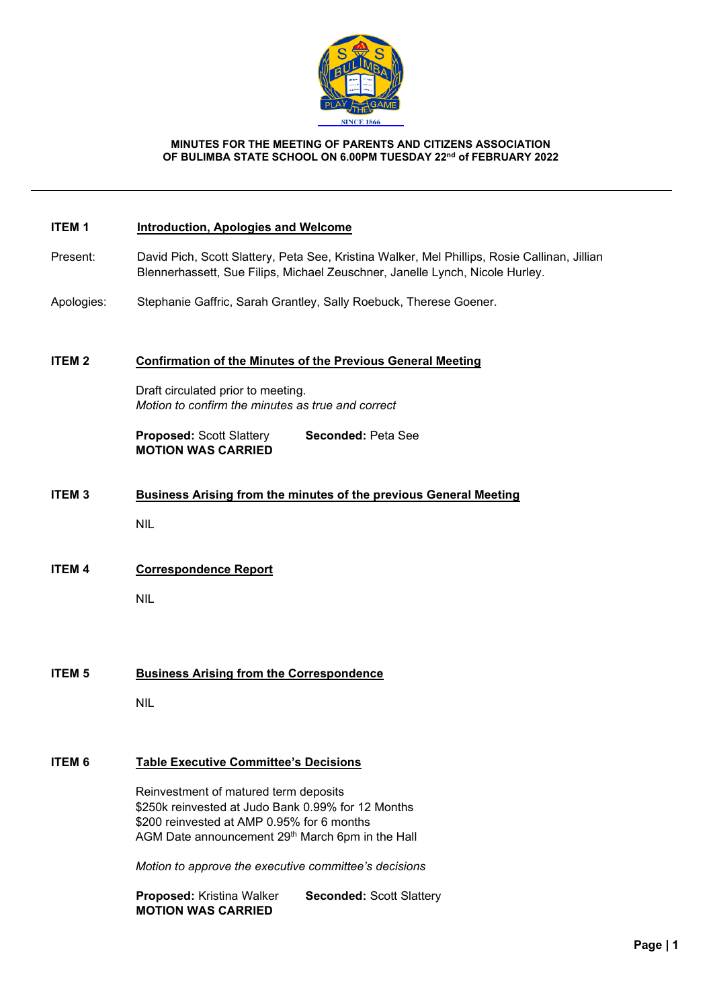

#### **MINUTES FOR THE MEETING OF PARENTS AND CITIZENS ASSOCIATION OF BULIMBA STATE SCHOOL ON 6.00PM TUESDAY 22nd of FEBRUARY 2022**

#### **ITEM 1 Introduction, Apologies and Welcome**

- Present: David Pich, Scott Slattery, Peta See, Kristina Walker, Mel Phillips, Rosie Callinan, Jillian Blennerhassett, Sue Filips, Michael Zeuschner, Janelle Lynch, Nicole Hurley.
- Apologies: Stephanie Gaffric, Sarah Grantley, Sally Roebuck, Therese Goener.

#### **ITEM 2 Confirmation of the Minutes of the Previous General Meeting**

Draft circulated prior to meeting. *Motion to confirm the minutes as true and correct*

**Proposed:** Scott Slattery **Seconded:** Peta See **MOTION WAS CARRIED**

**ITEM 3 Business Arising from the minutes of the previous General Meeting**

NIL

**ITEM 4 Correspondence Report** 

NIL

# **ITEM 5 Business Arising from the Correspondence**

NIL

#### **ITEM 6 Table Executive Committee's Decisions**

Reinvestment of matured term deposits \$250k reinvested at Judo Bank 0.99% for 12 Months \$200 reinvested at AMP 0.95% for 6 months AGM Date announcement 29th March 6pm in the Hall

*Motion to approve the executive committee's decisions*

**Proposed:** Kristina Walker **Seconded:** Scott Slattery **MOTION WAS CARRIED**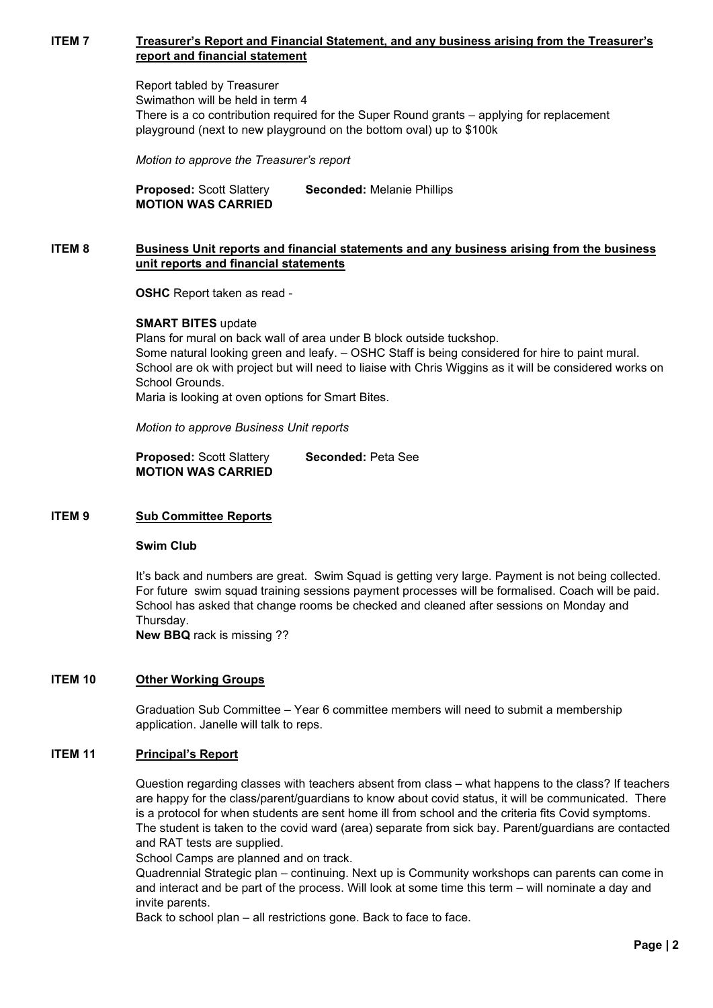## **ITEM 7 Treasurer's Report and Financial Statement, and any business arising from the Treasurer's report and financial statement**

Report tabled by Treasurer Swimathon will be held in term 4 There is a co contribution required for the Super Round grants – applying for replacement playground (next to new playground on the bottom oval) up to \$100k

*Motion to approve the Treasurer's report*

**Proposed:** Scott Slattery **Seconded:** Melanie Phillips **MOTION WAS CARRIED**

#### **ITEM 8 Business Unit reports and financial statements and any business arising from the business unit reports and financial statements**

**OSHC** Report taken as read -

#### **SMART BITES** update

Plans for mural on back wall of area under B block outside tuckshop. Some natural looking green and leafy. – OSHC Staff is being considered for hire to paint mural. School are ok with project but will need to liaise with Chris Wiggins as it will be considered works on School Grounds.

Maria is looking at oven options for Smart Bites.

*Motion to approve Business Unit reports*

**Proposed:** Scott Slattery **Seconded:** Peta See **MOTION WAS CARRIED**

### **ITEM 9 Sub Committee Reports**

### **Swim Club**

It's back and numbers are great. Swim Squad is getting very large. Payment is not being collected. For future swim squad training sessions payment processes will be formalised. Coach will be paid. School has asked that change rooms be checked and cleaned after sessions on Monday and Thursday.

**New BBQ** rack is missing ??

### **ITEM 10 Other Working Groups**

Graduation Sub Committee – Year 6 committee members will need to submit a membership application. Janelle will talk to reps.

### **ITEM 11 Principal's Report**

Question regarding classes with teachers absent from class – what happens to the class? If teachers are happy for the class/parent/guardians to know about covid status, it will be communicated. There is a protocol for when students are sent home ill from school and the criteria fits Covid symptoms. The student is taken to the covid ward (area) separate from sick bay. Parent/guardians are contacted and RAT tests are supplied.

School Camps are planned and on track.

Quadrennial Strategic plan – continuing. Next up is Community workshops can parents can come in and interact and be part of the process. Will look at some time this term – will nominate a day and invite parents.

Back to school plan – all restrictions gone. Back to face to face.